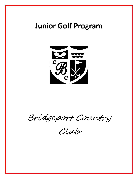## **Junior Golf Program**



Bridgeport Country

Club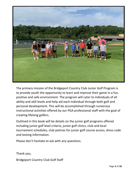

The primary mission of the Bridgeport Country Club Junior Golf Program is to provide youth the opportunity to learn and improve their game in a fun, positive and safe environment. The program will cater to individuals of all ability and skill levels and help aid each individual through both golf and personal development. This will be accomplished through numerous instructional activities offered by our PGA professional staff with the goal of creating lifelong golfers.

Outlined in this book will be details on the junior golf programs offered including junior golf level criteria, junior golf clinics, club and local tournament schedules, club policies for junior golf course access, dress code and testing information.

Please don't hesitate to ask with any questions.

Thank you,

Bridgeport Country Club Golf Staff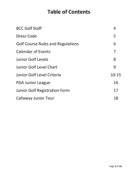## **Table of Contents**

| <b>BCC Golf Staff</b>                    | 4              |
|------------------------------------------|----------------|
| Dress Code                               | 5              |
| <b>Golf Course Rules and Regulations</b> | 6              |
| <b>Calendar of Events</b>                | $\overline{7}$ |
| <b>Junior Golf Levels</b>                | 8              |
| <b>Junior Golf Level Chart</b>           | 9              |
| Junior Golf Level Criteria               | $10 - 15$      |
| <b>PGA Junior League</b>                 | 16             |
| <b>Junior Golf Registration Form</b>     | 17             |
| <b>Callaway Junior Tour</b>              | 18             |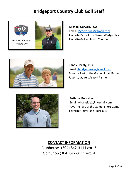### **Bridgeport Country Club Golf Staff**



**Michael Gervais, PGA** Email: [Mgervaispga@gmail.com](mailto:Mgervaispga@gmail.com) Favorite Part of the Game: Wedge Play Favorite Golfer: Justin Thomas



**Randy Hernly, PGA** Email: [Randyohernly@gmail.com](mailto:Randyohernly@gmail.com) Favorite Part of the Game: Short Game Favorite Golfer: Arnold Palmer



#### **Anthony Burnside**

 Email: Aburnside2@hotmail.com Favorite Part of the Game: Short Game Favorite Golfer: Jack Nicklaus

### **CONTACT INFORMATION**

Clubhouse- (304) 842-3111 ext. 3 Golf Shop (304) 842-3111 ext. 4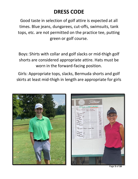## **DRESS CODE**

Good taste in selection of golf attire is expected at all times. Blue jeans, dungarees, cut-offs, swimsuits, tank tops, etc. are not permitted on the practice tee, putting green or golf course.

Boys: Shirts with collar and golf slacks or mid-thigh golf shorts are considered appropriate attire. Hats must be worn in the forward-facing position.

Girls: Appropriate tops, slacks, Bermuda shorts and golf skirts at least mid-thigh in length are appropriate for girls



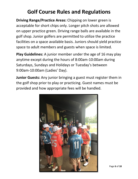### **Golf Course Rules and Regulations**

**Driving Range/Practice Areas:** Chipping on lower green is acceptable for short chips only. Longer pitch shots are allowed on upper practice green. Driving range balls are available in the golf shop. Junior golfers are permitted to utilize the practice facilities on a space available basis. Juniors should yield practice space to adult members and guests when space is limited.

**Play Guidelines:** A junior member under the age of 16 may play anytime except during the hours of 8:00am-10:00am during Saturdays, Sundays and Holidays or Tuesday's between 9:00am-10:00am (Ladies' Day).

**Junior Guests:** Any junior bringing a guest must register them in the golf shop prior to play or practicing. Guest names must be provided and how appropriate fees will be handled.

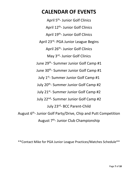### **CALENDAR OF EVENTS**

April 5<sup>th</sup>- Junior Golf Clinics April 12<sup>th</sup>- Junior Golf Clinics April 19<sup>th</sup>- Junior Golf Clinics April 23<sup>rd</sup>- PGA Junior League Begins April 26<sup>th</sup>- Junior Golf Clinics May 3<sup>rd</sup>- Junior Golf Clinics June 29th - Summer Junior Golf Camp #1 June 30<sup>th</sup>- Summer Junior Golf Camp #1 July 1st - Summer Junior Golf Camp #1 July 20<sup>th</sup>- Summer Junior Golf Camp #2 July 21<sup>st</sup>- Summer Junior Golf Camp #2 July 22<sup>nd</sup>- Summer Junior Golf Camp #2 July 23rd - BCC Parent-Child August 6<sup>th</sup>- Junior Golf Party/Drive, Chip and Putt Competition August 7<sup>th</sup>- Junior Club Championship

\*\*Contact Mike for PGA Junior League Practices/Matches Schedule\*\*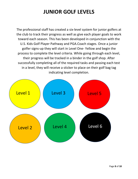## **JUNIOR GOLF LEVELS**

The professional staff has created a six-level system for junior golfers at the club to track their progress as well as give each player goals to work toward each season. This has been developed in conjunction with the U.S. Kids Golf Player Pathway and PGA.Coach stages. Once a junior golfer signs-up they will start in Level One- Yellow and begin the process to complete the level criteria. While going through each level, their progress will be tracked in a binder in the golf shop. After successfully completing all of the required tasks and passing each test in a level, they will receive a sticker to place on their golf bag tag indicating level completion.

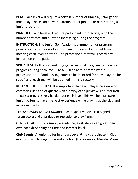**PLAY**: Each level will require a certain number of times a junior golfer must play. These can be with parents, other juniors, or occur during a junior program.

**PRACTICE:** Each level will require participants to practice, with the number of times and duration increasing during the program.

**INSTRUCTION:** The Junior Golf Academy, summer junior program, private instruction as well as group instruction will all count toward meeting each level's criteria. The professional staff will record any instruction participation.

**SKILLS TEST**: Both short and long game tests will be given to measure progress during each level. These will be administered by the professional staff and passing dates to be recorded for each player. The specifics of each test will be outlined in this directory.

**RULES/ETIQUETTE TEST:** It is important that each player be aware of common rules and etiquette which is why each player will be required to pass a progressively harder test each level. This will help prepare our junior golfers to have the best experience while playing at the club and in tournaments.

**TEE YARDAGE/TARGET SCORE:** Each respective level is assigned a target score and a yardage or tee color to play from.

**GENERAL AGE:** This is simply a guideline, as students can go at their own pace depending on time and interest level.

**Club Events:** A junior golfer in or past Level 6 may participate in Club events in which wagering is not involved (For example, Member-Guest)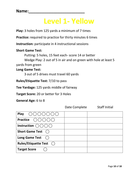## **Level 1- Yellow**

**Play:** 3 holes from 125 yards a minimum of 7 times

**Practice:** required to practice for thirty minutes 6 times

**Instruction:** participate in 4 instructional sessions

#### **Short Game Test:**

Putting: 5 holes, 15 feet each- score 14 or better

Wedge Play: 2 out of 5 in air and on green with hole at least 5

yards from green

#### **Long Game Test:**

3 out of 5 drives must travel 60 yards

**Rules/Etiquette Test:** 7/10 to pass

**Tee Yardage:** 125 yards middle of fairway

**Target Score:** 20 or better for 3 Holes

**General Age:** 6 to 8

| Play $\bigcap ( ) ( ) ( ) ( ) ( ) ( )$       |  |
|----------------------------------------------|--|
| <b>Practice</b> $( )()()()()()$              |  |
| Instruction $\bigcirc$ $\bigcirc$ $\bigcirc$ |  |
| <b>Short Game Test</b> ()                    |  |
| Long Game Test ()                            |  |
| Rules/Etiquette Test $\bigcirc$              |  |
| <b>Target Score</b>                          |  |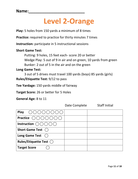# **Level 2-Orange**

**Play:** 5 holes from 150 yards a minimum of 8 times

**Practice:** required to practice for thirty minutes 7 times

**Instruction:** participate in 5 instructional sessions

### **Short Game Test:**

Putting: 9 holes, 15 feet each- score 20 or better Wedge Play: 5 out of 9 in air and on green, 10 yards from green Bunker: 2 out of 5 in the air and on the green

### **Long Game Test:**

3 out of 5 drives must travel 100 yards (boys) 85 yards (girls) **Rules/Etiquette Test:** 9/12 to pass

**Tee Yardage:** 150 yards middle of fairway

**Target Score:** 26 or better for 5 Holes

**General Age:** 8 to 11

**Play** ◯◯◯◯◯◯◯ **Practice Instruction**  $\bigcirc$   $\bigcirc$   $\bigcirc$   $\bigcirc$ **Short Game Test** Long Game Test **Rules/Etiquette Test ⃝ Target Score**  $\bigcirc$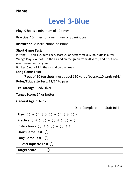## **Level 3-Blue**

**Play:** 9 holes a minimum of 12 times

**Practice:** 10 times for a minimum of 30 minutes

**Instruction:** 8 instructional sessions

#### **Short Game Test:**

Putting: 12 holes, 20 feet each, score 26 or better/ make 5 3ft. putts in a row Wedge Play: 7 out of 9 in the air and on the green from 20 yards, and 3 out of 6 over bunker and on green

Bunker: 5 out of 9 in the air and on the green

#### **Long Game Test:**

7 out of 10 tee shots must travel 150 yards (boys)/110 yards (girls) **Rules/Etiquette Test:** 11/14 to pass

**Tee Yardage:** Red/Silver

**Target Score:** 54 or better

**General Age:** 9 to 12

| Play 0000000000                                                                            |  |
|--------------------------------------------------------------------------------------------|--|
| Practice $\bigcap \bigcap \bigcap \bigcap \bigcap \bigcap \bigcap \bigcap \bigcap \bigcap$ |  |
| Instruction $\bigcirc$ $\bigcirc$ $\bigcirc$ $\bigcirc$ $\bigcirc$ $\bigcirc$ $\bigcirc$   |  |
| <b>Short Game Test</b> ()                                                                  |  |
| Long Game Test $()$                                                                        |  |
| Rules/Etiquette Test $\bigcap$                                                             |  |
| <b>Target Score</b>                                                                        |  |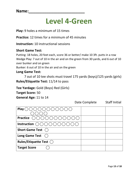## **Level 4-Green**

**Play:** 9 holes a minimum of 15 times

**Practice:** 12 times for a minimum of 45 minutes

**Instruction:** 10 instructional sessions

### **Short Game Test:**

Putting: 18 holes, 20 feet each, score 36 or better/ make 10 3ft. putts in a row Wedge Play: 7 out of 10 in the air and on the green from 30 yards, and 6 out of 10 over bunker and on green

Bunker: 6 out of 10 in the air and on the green

### **Long Game Test:**

7 out of 10 tee shots must travel 175 yards (boys)/125 yards (girls) **Rules/Etiquette Test:** 11/14 to pass

**Tee Yardage:** Gold (Boys) Red (Girls) **Target Score:** 50 **General Age:** 11 to 14

| Play $\bigcirc$ $\bigcirc$                                                                                |  |
|-----------------------------------------------------------------------------------------------------------|--|
|                                                                                                           |  |
| <b>Practice</b> $\bigcap \bigcap \bigcap \bigcap \bigcap \bigcap \bigcap \bigcap \bigcap \bigcap \bigcap$ |  |
| Instruction $\bigcap$<br>( ) ( ) ( ) ( ) ( ) ( ) ( ) ( ) ( )                                              |  |
| <b>Short Game Test</b> (                                                                                  |  |
| Long Game Test ()                                                                                         |  |
| Rules/Etiquette Test $\bigcirc$                                                                           |  |
| <b>Target Score</b>                                                                                       |  |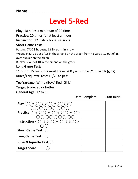# **Level 5-Red**

**Play:** 18 holes a minimum of 20 times **Practice:** 20 times for at least an hour **Instruction:** 12 instructional sessions **Short Game Test:** Putting: 7/10 8 ft. putts, 12 3ft putts in a row Wedge Play: 11 out of 15 in the air and on the green from 45 yards, 10 out of 15 over bunker on the green Bunker: 7 out of 10 in the air and on the green **Long Game Test:**

11 out of 15 tee shots must travel 200 yards (boys)/150 yards (girls) **Rules/Etiquette Test:** 15/20 to pass

**Tee Yardage:** White (Boys) Red (Girls)

**Target Score:** 90 or better

**General Age:** 12 to 15

|                                 | Date Complete | <b>Staff Initial</b> |
|---------------------------------|---------------|----------------------|
| Play (                          |               |                      |
|                                 |               |                      |
| <b>Practice</b>                 |               |                      |
|                                 |               |                      |
| Instruction                     |               |                      |
|                                 |               |                      |
| <b>Short Game Test</b>          |               |                      |
| <b>Long Game Test</b>           |               |                      |
| Rules/Etiquette Test $\bigcirc$ |               |                      |
| <b>Target Score</b>             |               |                      |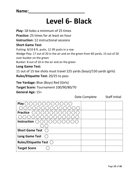# **Level 6- Black**

**Play:** 18 holes a minimum of 25 times

**Practice:** 25 times for at least an hour

**Instruction:** 12 instructional sessions

### **Short Game Test:**

Putting: 8/10 8 ft. putts, 12 3ft putts in a row

Wedge Play: 17 out of 20 in the air and on the green from 60 yards, 15 out of 20 over bunker on the green

Bunker: 8 out of 10 in the air and on the green

### **Long Game Test:**

11 out of 15 tee shots must travel 225 yards (boys)/150 yards (girls) **Rules/Etiquette Test:** 20/25 to pass

**Tee Yardage:** Blue (Boys) Red (Girls) **Target Score:** Tournament 100/90/80/70 **General Age:** 15+

Date Complete Staff Initial **Play** ( ) 000000000000 **Practice**  ⃝ ⃝ ⃝ ⃝ ⃝ ⃝ ⃝ ⃝ ⃝ ⃝ ⃝ ⃝ ⃝ ⃝ **Instruction ⃝ ⃝ Short Game Test Long Game Test Rules/Etiquette Test ⃝ Target Score**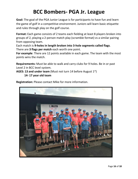### **BCC Bombers- PGA Jr. League**

**Goal:** The goal of the PGA Junior League is for participants to have fun and learn the game of golf in a competitive environment. Juniors will learn basic etiquette and rules through play on the golf course.

**Format:** Each game consists of 2 teams each fielding at least 8 players broken into groups of 2, playing a 2-person match play (scramble format) vs a similar pairing from opposing team.

Each match is **9-holes in length broken into 3-hole segments called flags**. There are **3 flags per match** each worth one point.

**For example**: There are 12 points available in each game. The team with the most points wins the match.

**Requirements:** Must be able to walk and carry clubs for 9 holes. Be in or past Level 2 in BCC level system.

**AGES: 13 and under team** (Must not turn 14 before August 1<sup>st</sup>) **14- 17 year old team**

**Registration:** Please contact Mike for more information.

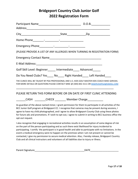### **Bridgeport Country Club Junior Golf 2022 Registration Form**

| (PLEASE PROVIDE A LIST OF ANY ALLERGIES WHEN TURNING IN REGISTRATION FORM)                                                                                                                                                                                                                                                                                                                                                                                                                                                                                                                                                                    |  |  |
|-----------------------------------------------------------------------------------------------------------------------------------------------------------------------------------------------------------------------------------------------------------------------------------------------------------------------------------------------------------------------------------------------------------------------------------------------------------------------------------------------------------------------------------------------------------------------------------------------------------------------------------------------|--|--|
|                                                                                                                                                                                                                                                                                                                                                                                                                                                                                                                                                                                                                                               |  |  |
|                                                                                                                                                                                                                                                                                                                                                                                                                                                                                                                                                                                                                                               |  |  |
| Golf Skill Level: Beginner_____ Intermediate____ Advanced_____                                                                                                                                                                                                                                                                                                                                                                                                                                                                                                                                                                                |  |  |
| Do You Need Clubs? Yes____ No____ Right Handed____ Left Handed____                                                                                                                                                                                                                                                                                                                                                                                                                                                                                                                                                                            |  |  |
| THE CLINICS WILL BE TAUGHT BY PGA PROFESSIONAL AND U.S. KIDS GOLF MASTER KIDS COACH MIKE GERVAIS.<br>FOR MORE DETAILS OR QUESTIONS PLEASE CONTACT MIKE @ (304) 842-3111 OR MGERVAISPGA@GMAIL.COM                                                                                                                                                                                                                                                                                                                                                                                                                                              |  |  |
| PLEASE RETURN THIS FORM BEFORE OR ON DATE OF FIRST CLINIC ATTENDING                                                                                                                                                                                                                                                                                                                                                                                                                                                                                                                                                                           |  |  |
| ________CASH __________CHECK _________ Member Charge____________                                                                                                                                                                                                                                                                                                                                                                                                                                                                                                                                                                              |  |  |
| As guardian of the above named minor, I grant permission for them to participate in all activities of the<br>BCC Junior Golf program at Bridgeport CC. I recognize that cameras may be present during sessions, I<br>agree to have my child photographed, and I agree to allow Bridgeport County Club using these photos<br>for future ads and promotions. If I wish to opt-out, I agree to submit in writing to BCC business office the<br>opt-out request.                                                                                                                                                                                  |  |  |
| I also recognize that engaging in recreational activities results in an assumption of some degree of risk<br>on the part of the person participating and as such there exist likelihood for injury incidental to<br>participating. I certify the participant is in good health and able to participate with no limitations. In the<br>event a medical emergency were to happen on the premises when I am not present or cannot be<br>contacted, I give my permission to secure medical attention. Also, I hereby release, Bridgeport Country<br>Club and all clinical instructors and volunteers of all liabilities due to injury or illness. |  |  |

| Parent    |               |
|-----------|---------------|
| Signature | $\sim$ $\sim$ |
|           |               |